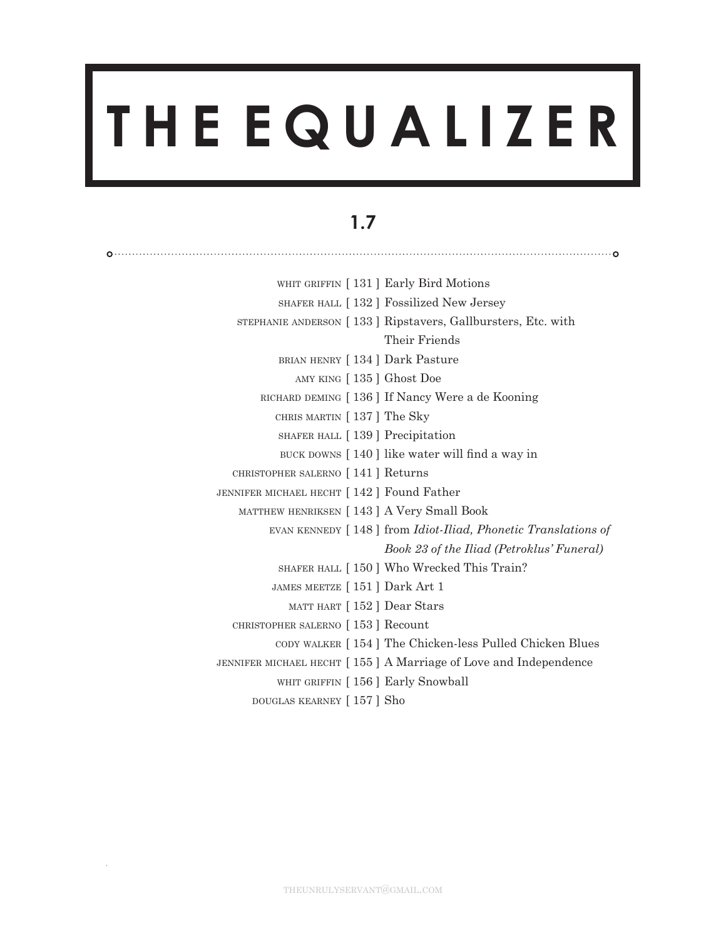# **T H E E Q U A L I Z E R**

## **1.7**

| WHIT GRIFFIN [131] Early Bird Motions       |                                                                              |
|---------------------------------------------|------------------------------------------------------------------------------|
|                                             | SHAFER HALL [132] Fossilized New Jersey                                      |
|                                             | STEPHANIE ANDERSON [133] Ripstavers, Gallbursters, Etc. with                 |
|                                             | Their Friends                                                                |
| BRIAN HENRY [134] Dark Pasture              |                                                                              |
| AMY KING [135] Ghost Doe                    |                                                                              |
|                                             | RICHARD DEMING [136] If Nancy Were a de Kooning                              |
| CHRIS MARTIN [137] The Sky                  |                                                                              |
| SHAFER HALL [139] Precipitation             |                                                                              |
|                                             | BUCK DOWNS [140] like water will find a way in                               |
| CHRISTOPHER SALERNO [141] Returns           |                                                                              |
| JENNIFER MICHAEL HECHT [142] Found Father   |                                                                              |
| MATTHEW HENRIKSEN [ 143 ] A Very Small Book |                                                                              |
|                                             | EVAN KENNEDY [148] from <i>Idiot-Iliad</i> , <i>Phonetic Translations of</i> |
|                                             | Book 23 of the Iliad (Petroklus' Funeral)                                    |
|                                             | SHAFER HALL [150] Who Wrecked This Train?                                    |
| JAMES MEETZE [151] Dark Art 1               |                                                                              |
| MATT HART [152] Dear Stars                  |                                                                              |
| CHRISTOPHER SALERNO [153] Recount           |                                                                              |
|                                             | CODY WALKER [154] The Chicken-less Pulled Chicken Blues                      |
|                                             | JENNIFER MICHAEL HECHT [155] A Marriage of Love and Independence             |
| WHIT GRIFFIN [156] Early Snowball           |                                                                              |
| DOUGLAS KEARNEY [157] Sho                   |                                                                              |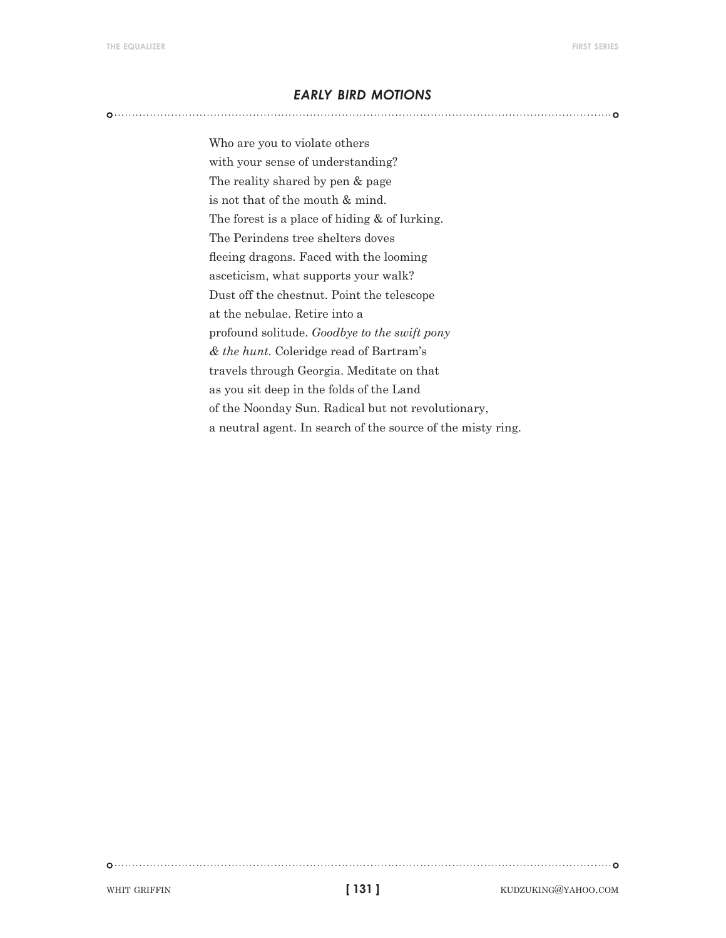#### *early bird motions*

Who are you to violate others with your sense of understanding? The reality shared by pen & page is not that of the mouth & mind. The forest is a place of hiding & of lurking. The Perindens tree shelters doves fleeing dragons. Faced with the looming asceticism, what supports your walk? Dust off the chestnut. Point the telescope at the nebulae. Retire into a profound solitude. *Goodbye to the swift pony & the hunt.* Coleridge read of Bartram's travels through Georgia. Meditate on that as you sit deep in the folds of the Land of the Noonday Sun. Radical but not revolutionary, a neutral agent. In search of the source of the misty ring.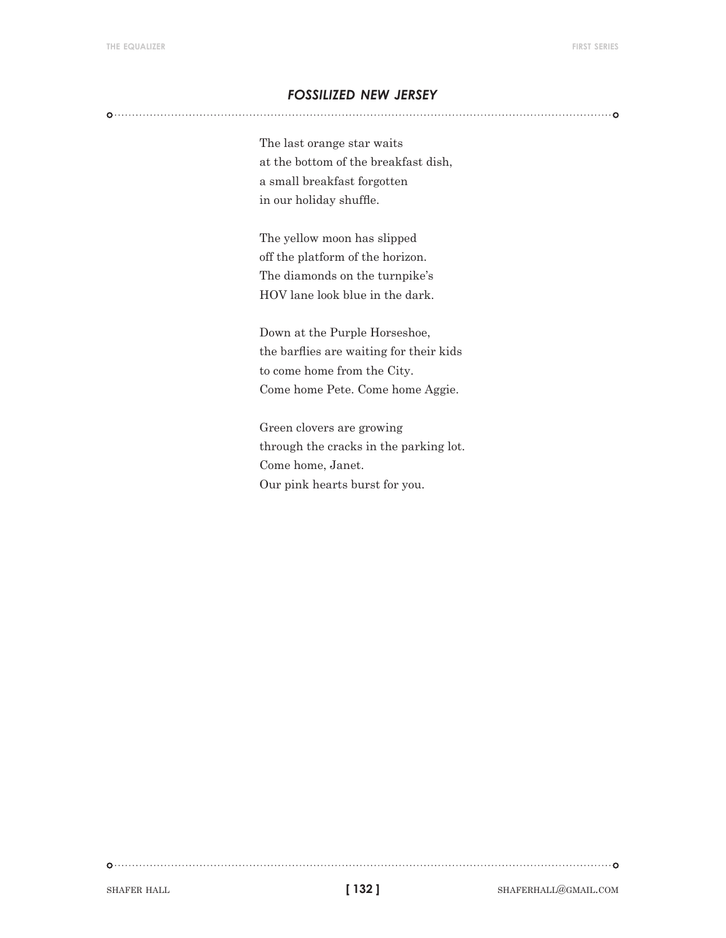#### *fossilized new jersey*

The last orange star waits at the bottom of the breakfast dish, a small breakfast forgotten in our holiday shuffle.

The yellow moon has slipped off the platform of the horizon. The diamonds on the turnpike's HOV lane look blue in the dark.

Down at the Purple Horseshoe, the barflies are waiting for their kids to come home from the City. Come home Pete. Come home Aggie.

Green clovers are growing through the cracks in the parking lot. Come home, Janet. Our pink hearts burst for you.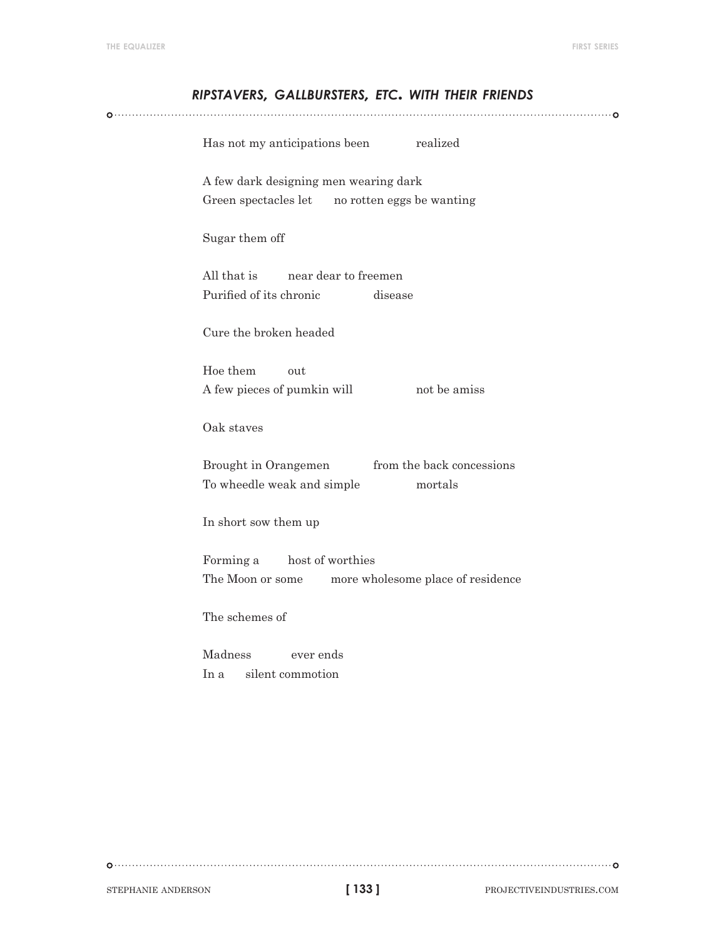# *ripstavers, gallbursters, etc. with their friends* Has not my anticipations been realized A few dark designing men wearing dark Green spectacles let no rotten eggs be wanting Sugar them off All that is near dear to freemen Purified of its chronic disease Cure the broken headed Hoe them out A few pieces of pumkin will not be amiss Oak staves Brought in Orangemen from the back concessions To wheedle weak and simple mortals In short sow them up Forming a host of worthies The Moon or some more wholesome place of residence The schemes of Madness ever ends In a silent commotion

**[ 133 ]**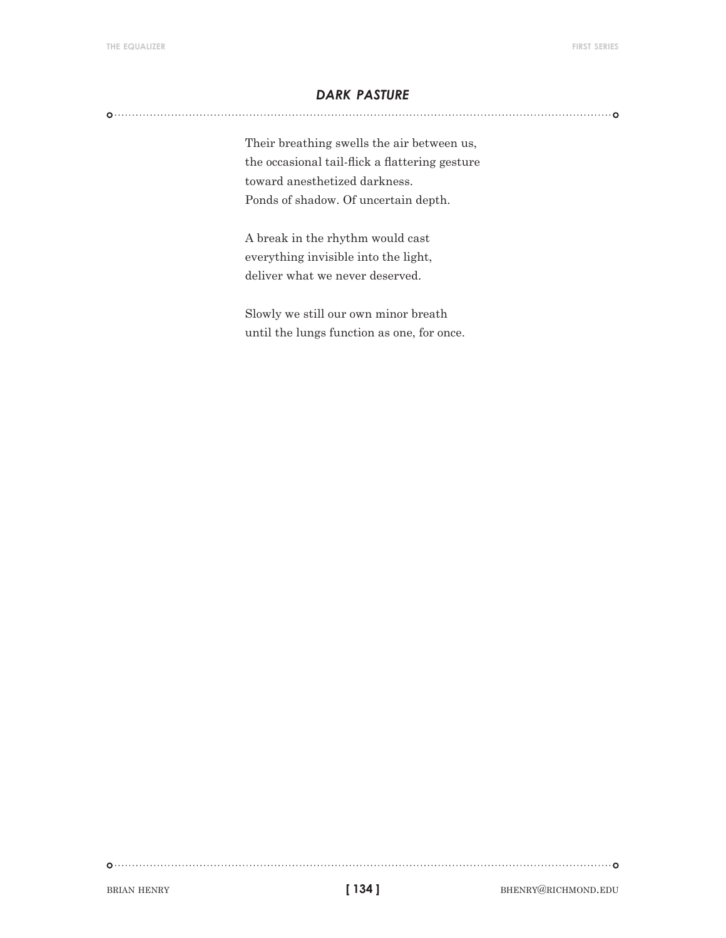#### *dark pasture*

Their breathing swells the air between us, the occasional tail-flick a flattering gesture toward anesthetized darkness. Ponds of shadow. Of uncertain depth.

A break in the rhythm would cast everything invisible into the light, deliver what we never deserved.

Slowly we still our own minor breath until the lungs function as one, for once.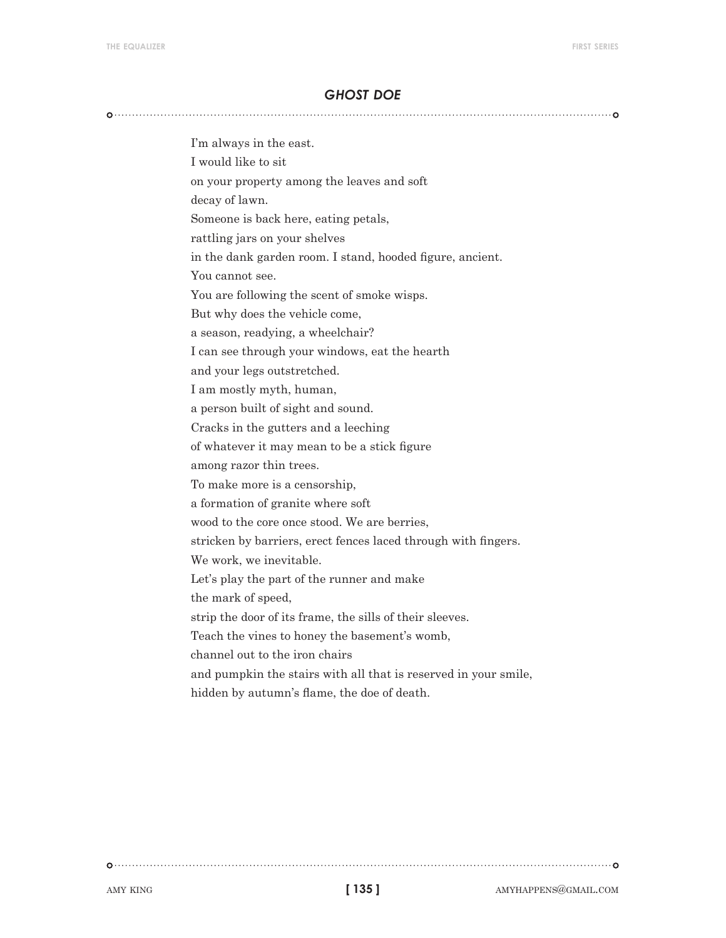#### *ghost doe*

I'm always in the east. I would like to sit on your property among the leaves and soft decay of lawn. Someone is back here, eating petals, rattling jars on your shelves in the dank garden room. I stand, hooded figure, ancient. You cannot see. You are following the scent of smoke wisps. But why does the vehicle come, a season, readying, a wheelchair? I can see through your windows, eat the hearth and your legs outstretched. I am mostly myth, human, a person built of sight and sound. Cracks in the gutters and a leeching of whatever it may mean to be a stick figure among razor thin trees. To make more is a censorship, a formation of granite where soft wood to the core once stood. We are berries, stricken by barriers, erect fences laced through with fingers. We work, we inevitable. Let's play the part of the runner and make the mark of speed, strip the door of its frame, the sills of their sleeves. Teach the vines to honey the basement's womb, channel out to the iron chairs and pumpkin the stairs with all that is reserved in your smile, hidden by autumn's flame, the doe of death.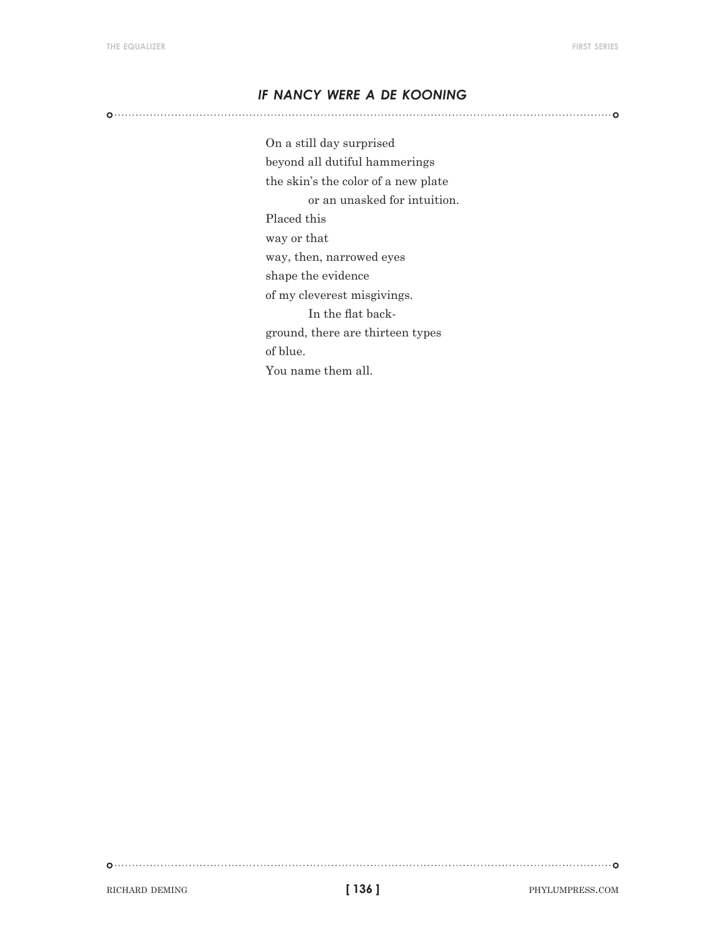#### *if nancy were a de kooning*

On a still day surprised beyond all dutiful hammerings the skin's the color of a new plate or an unasked for intuition. Placed this way or that way, then, narrowed eyes shape the evidence of my cleverest misgivings. In the flat background, there are thirteen types of blue. You name them all.

RICHARD DEMING **phylumpress.com 136 ] 136 ] 136 ] PHYLUMPRESS.COM** 

**[ 136 ]**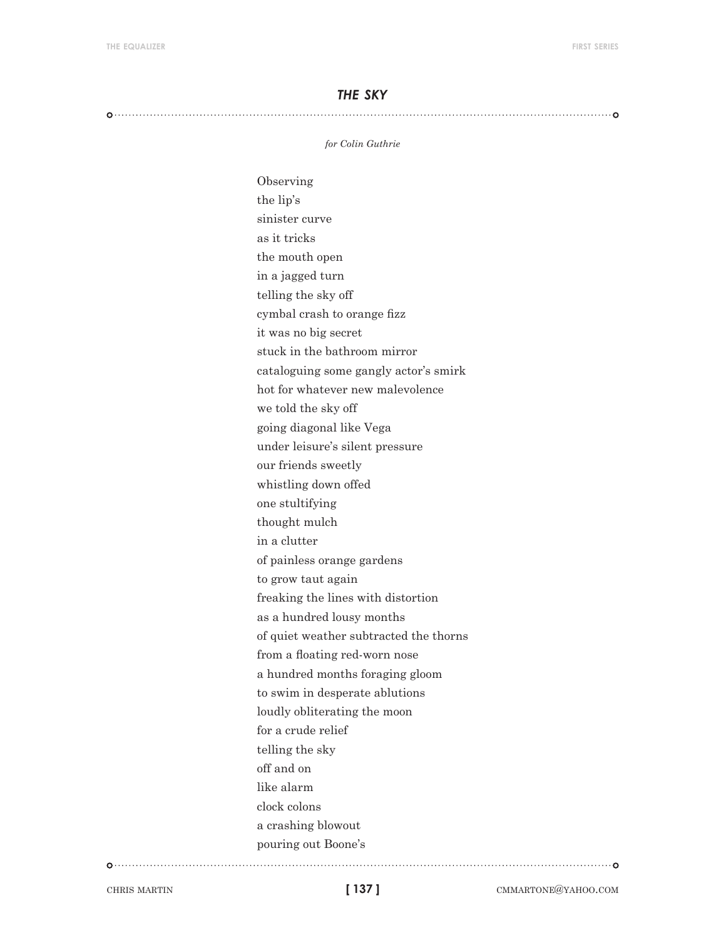#### *the sky*

#### 

*for Colin Guthrie*

Observing the lip's sinister curve as it tricks the mouth open in a jagged turn telling the sky off cymbal crash to orange fizz it was no big secret stuck in the bathroom mirror cataloguing some gangly actor's smirk hot for whatever new malevolence we told the sky off going diagonal like Vega under leisure's silent pressure our friends sweetly whistling down offed one stultifying thought mulch in a clutter of painless orange gardens to grow taut again freaking the lines with distortion as a hundred lousy months of quiet weather subtracted the thorns from a floating red-worn nose a hundred months foraging gloom to swim in desperate ablutions loudly obliterating the moon for a crude relief telling the sky off and on like alarm clock colons a crashing blowout pouring out Boone's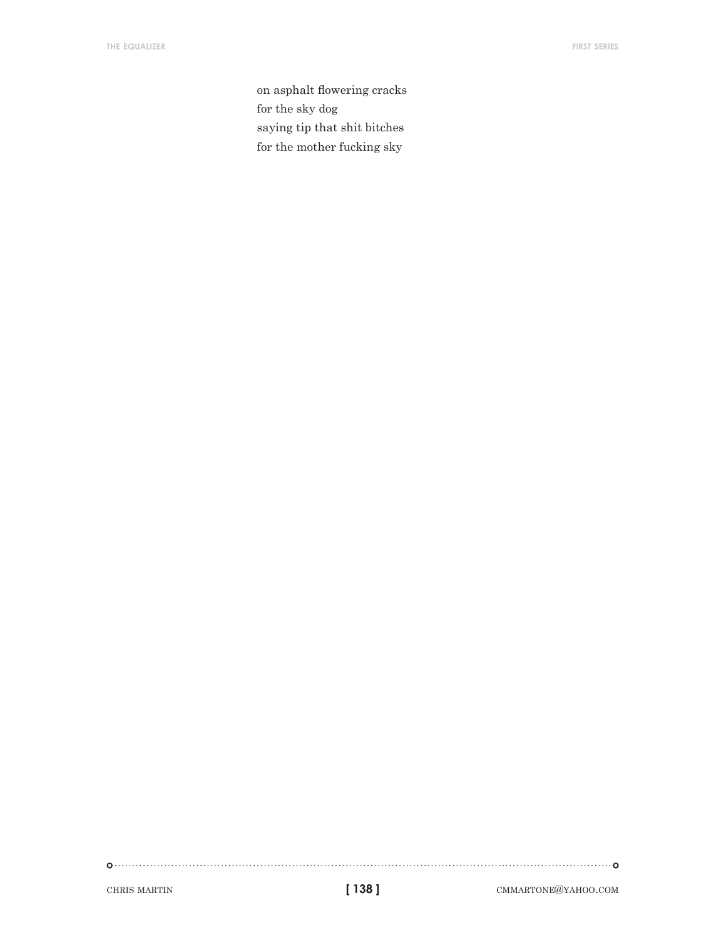on asphalt flowering cracks for the sky dog saying tip that shit bitches for the mother fucking sky

 $\begin{picture}(100,100) \put(0,0){\vector(1,0){100}} \put(10,0){\vector(1,0){100}} \put(10,0){\vector(1,0){100}} \put(10,0){\vector(1,0){100}} \put(10,0){\vector(1,0){100}} \put(10,0){\vector(1,0){100}} \put(10,0){\vector(1,0){100}} \put(10,0){\vector(1,0){100}} \put(10,0){\vector(1,0){100}} \put(10,0){\vector(1,0){100}} \put(10,0){\vector(1,0){100$ 

chris martin **chris martin cmmarting cmmarting cmmarting cmmarting cmmarting cmmarting cmmarting cmmarting cmmarting cmmarting cmmarting cmmarting cmmarting cmmarting cmmarting cmmarting cmmarting cmmarting cmmarting cmmar**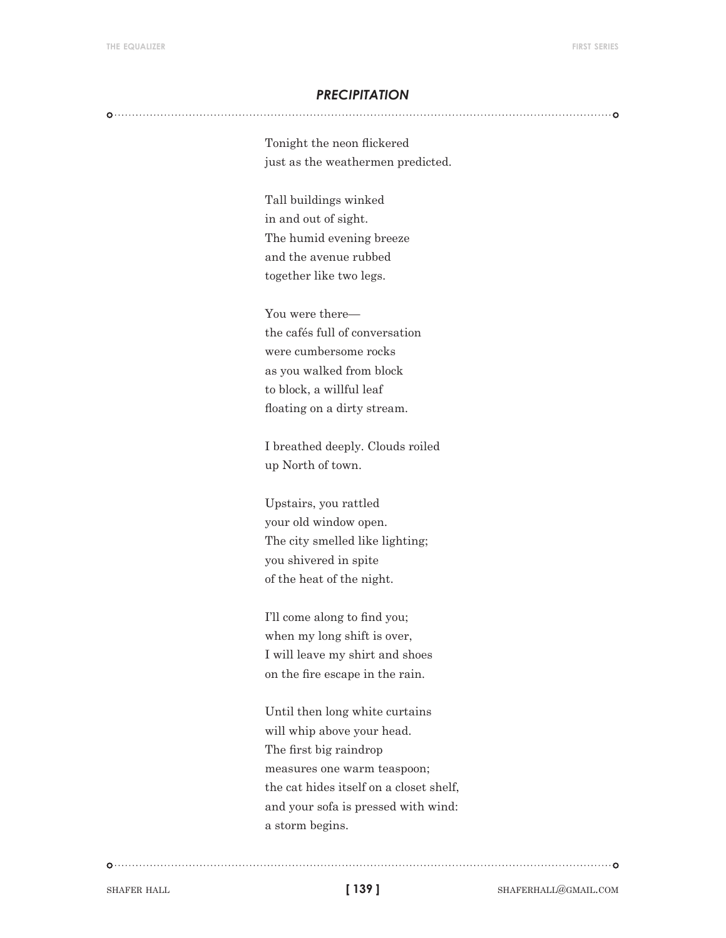#### *precipitation*

Tonight the neon flickered just as the weathermen predicted.

Tall buildings winked in and out of sight. The humid evening breeze and the avenue rubbed together like two legs.

You were there the cafés full of conversation were cumbersome rocks as you walked from block to block, a willful leaf floating on a dirty stream.

I breathed deeply. Clouds roiled up North of town.

Upstairs, you rattled your old window open. The city smelled like lighting; you shivered in spite of the heat of the night.

I'll come along to find you; when my long shift is over, I will leave my shirt and shoes on the fire escape in the rain.

Until then long white curtains will whip above your head. The first big raindrop measures one warm teaspoon; the cat hides itself on a closet shelf, and your sofa is pressed with wind: a storm begins.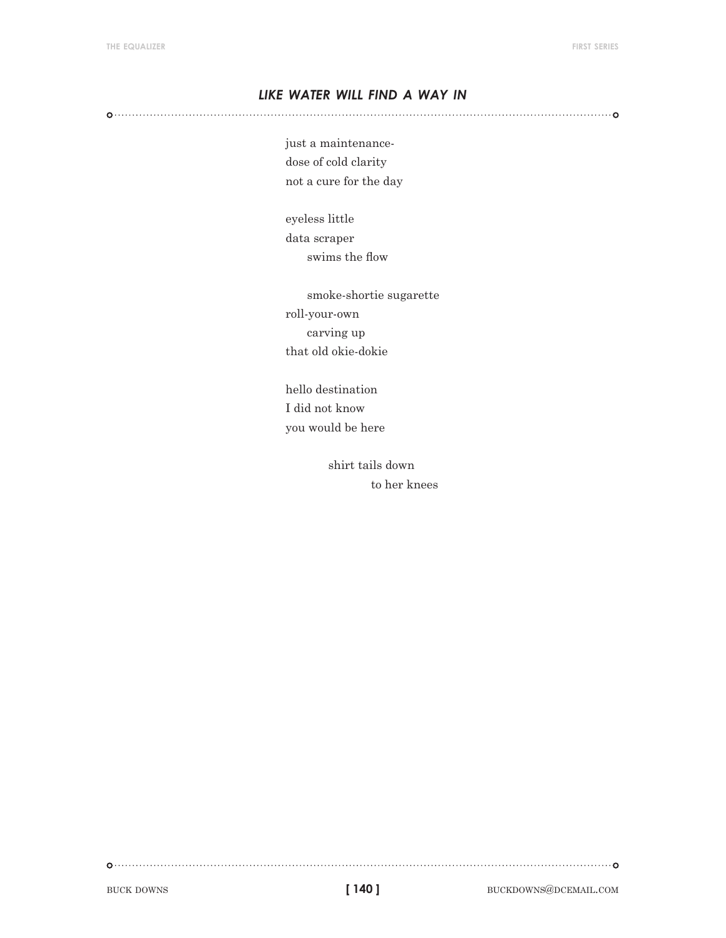#### *like water will find a way in*

just a maintenancedose of cold clarity not a cure for the day

eyeless little data scraper swims the flow

smoke-shortie sugarette roll-your-own carving up that old okie-dokie

hello destination I did not know you would be here

> shirt tails down to her knees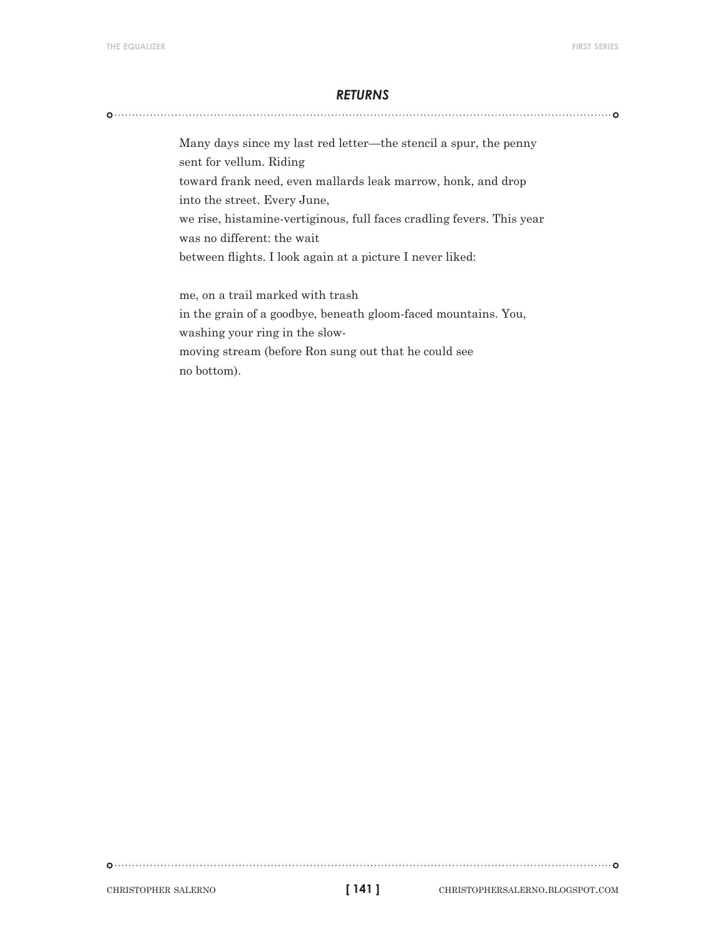#### *returns*

Many days since my last red letter—the stencil a spur, the penny sent for vellum. Riding toward frank need, even mallards leak marrow, honk, and drop into the street. Every June, we rise, histamine-vertiginous, full faces cradling fevers. This year was no different: the wait between flights. I look again at a picture I never liked: me, on a trail marked with trash in the grain of a goodbye, beneath gloom-faced mountains. You,

washing your ring in the slow-

moving stream (before Ron sung out that he could see no bottom).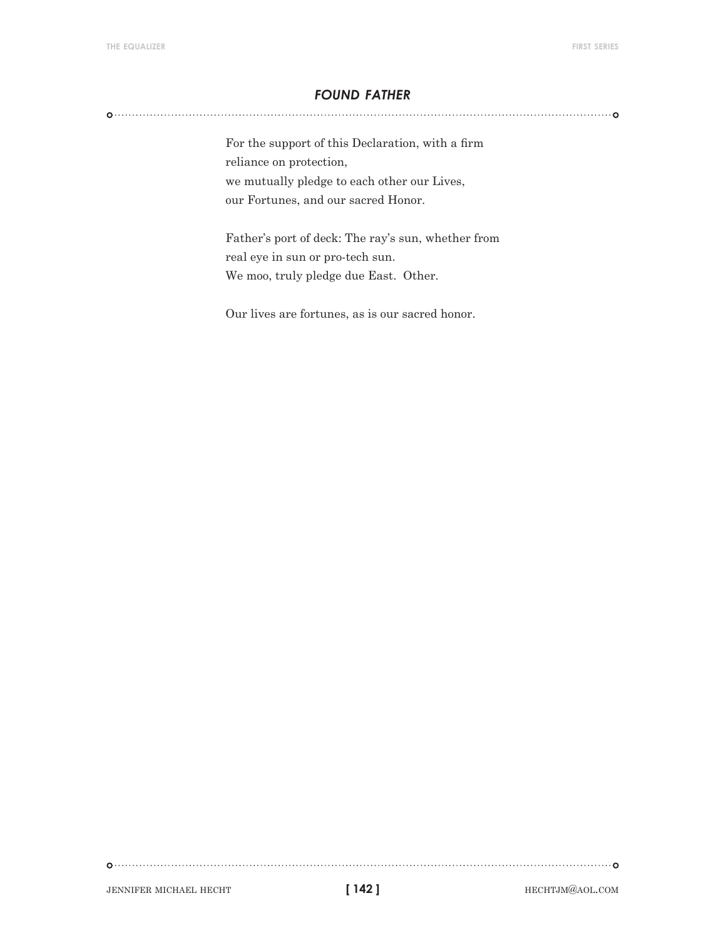#### *found father*

For the support of this Declaration, with a firm reliance on protection, we mutually pledge to each other our Lives, our Fortunes, and our sacred Honor.

Father's port of deck: The ray's sun, whether from real eye in sun or pro-tech sun. We moo, truly pledge due East. Other.

Our lives are fortunes, as is our sacred honor.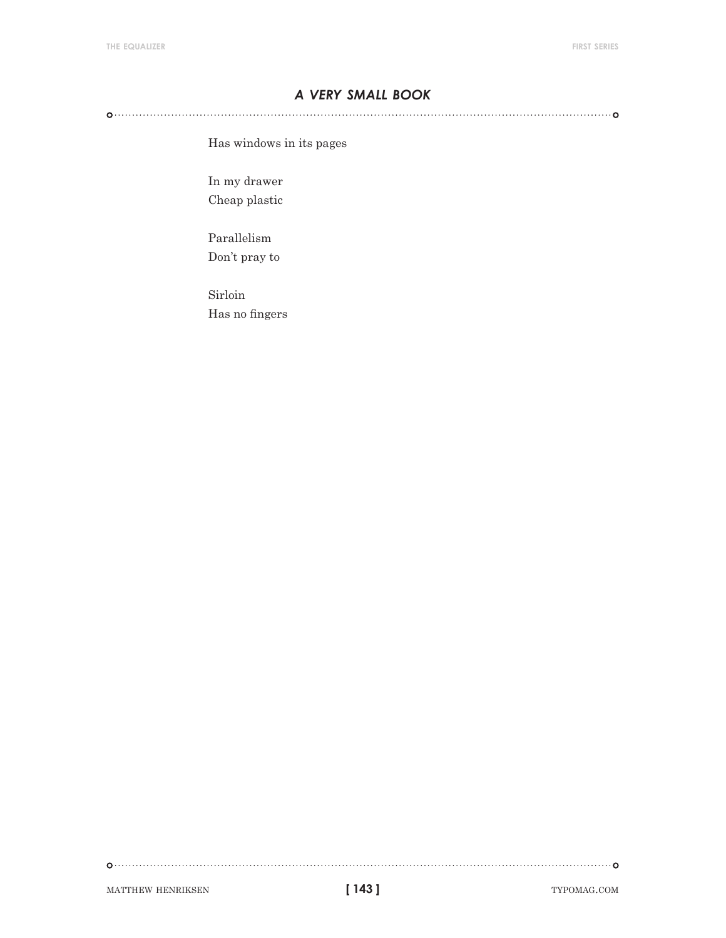#### *a very small book*

Has windows in its pages

In my drawer Cheap plastic

Parallelism Don't pray to

Sirloin Has no fingers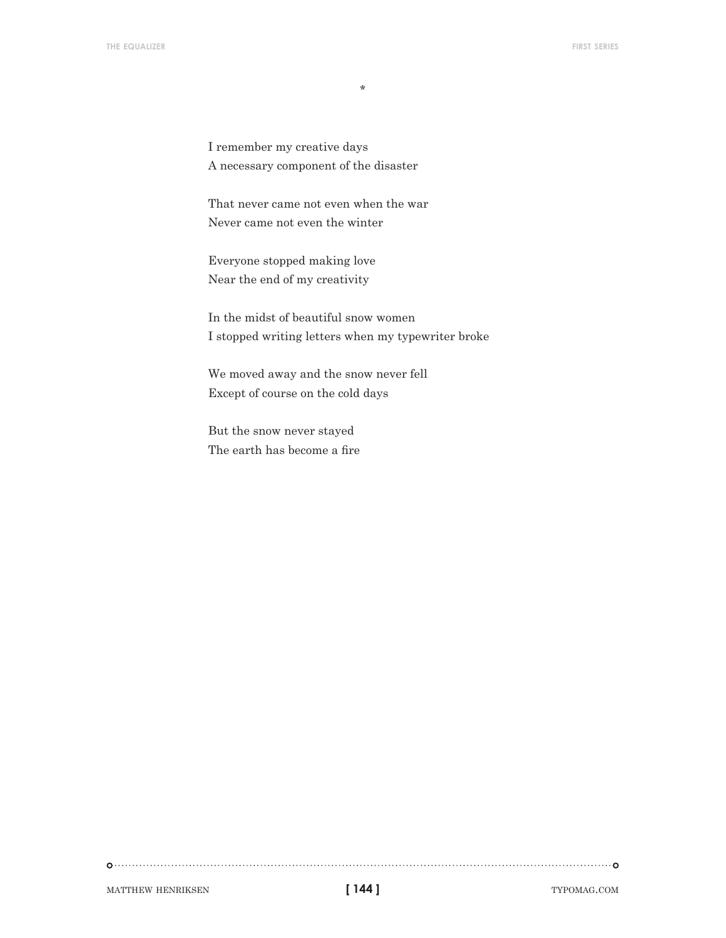I remember my creative days A necessary component of the disaster

That never came not even when the war Never came not even the winter

Everyone stopped making love Near the end of my creativity

In the midst of beautiful snow women I stopped writing letters when my typewriter broke

We moved away and the snow never fell Except of course on the cold days

But the snow never stayed The earth has become a fire

MATTHEW HENRIKSEN **typomag.com 144 ] 144 ]** TYPOMAG.COM

**[ 144 ]**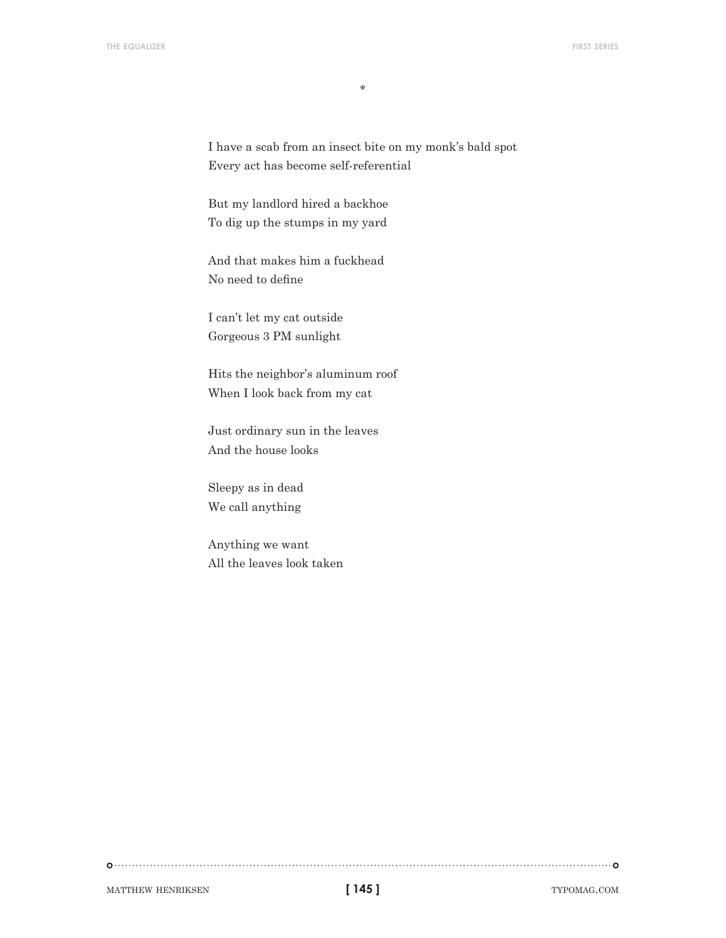I have a scab from an insect bite on my monk's bald spot Every act has become self-referential

But my landlord hired a backhoe To dig up the stumps in my yard

And that makes him a fuckhead No need to define

I can't let my cat outside Gorgeous 3 PM sunlight

Hits the neighbor's aluminum roof When I look back from my cat

Just ordinary sun in the leaves And the house looks

Sleepy as in dead We call anything

Anything we want All the leaves look taken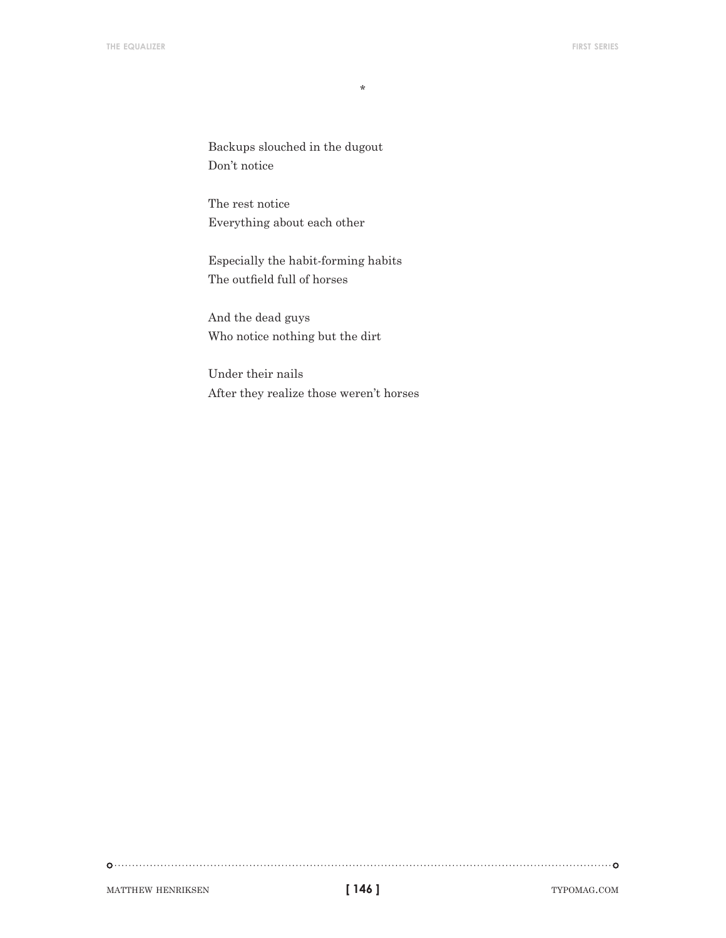Backups slouched in the dugout Don't notice

The rest notice Everything about each other

Especially the habit-forming habits The outfield full of horses

And the dead guys Who notice nothing but the dirt

Under their nails After they realize those weren't horses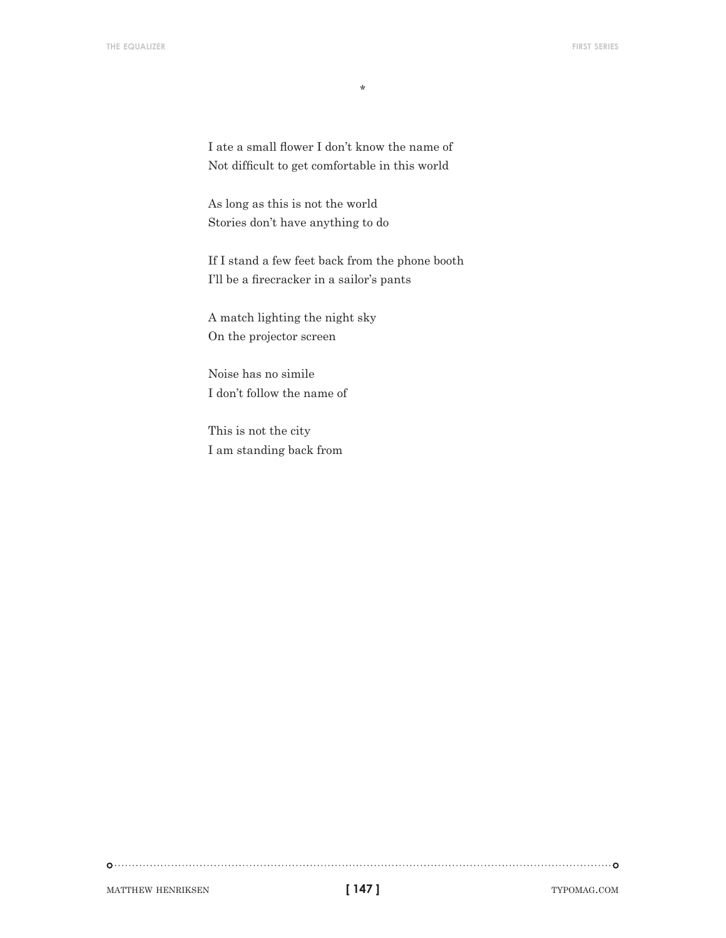I ate a small flower I don't know the name of Not difficult to get comfortable in this world

As long as this is not the world Stories don't have anything to do

If I stand a few feet back from the phone booth I'll be a firecracker in a sailor's pants

A match lighting the night sky On the projector screen

Noise has no simile I don't follow the name of

This is not the city I am standing back from

matthew henriksen typomag.com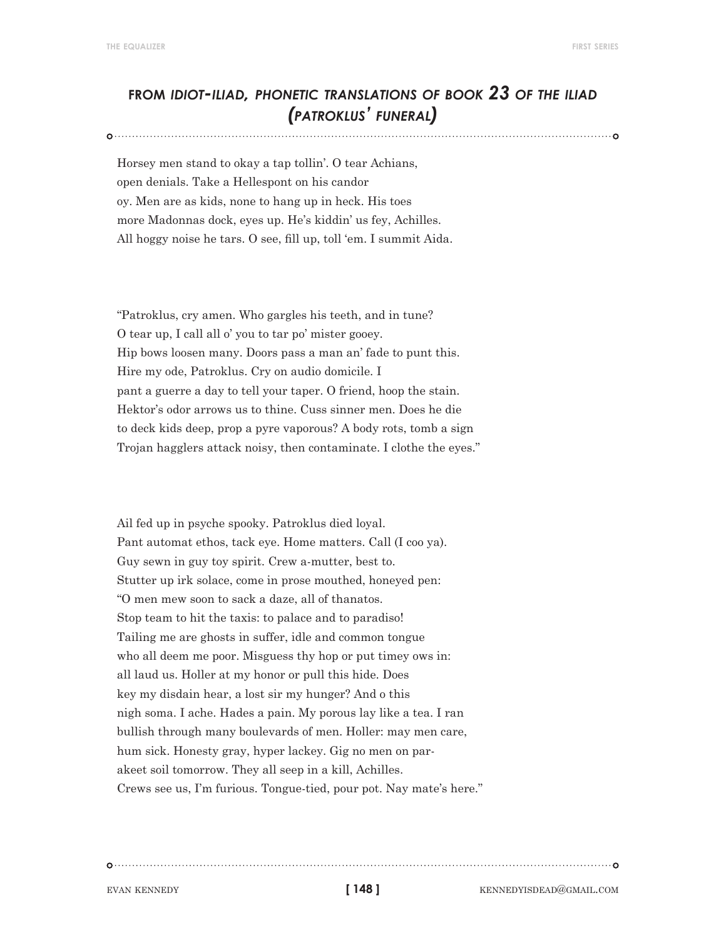### **from** *idiot-iliad, phonetic translations of book 23 of the iliad (patroklus' funeral)*

Horsey men stand to okay a tap tollin'. O tear Achians, open denials. Take a Hellespont on his candor oy. Men are as kids, none to hang up in heck. His toes more Madonnas dock, eyes up. He's kiddin' us fey, Achilles. All hoggy noise he tars. O see, fill up, toll 'em. I summit Aida.

"Patroklus, cry amen. Who gargles his teeth, and in tune? O tear up, I call all o' you to tar po' mister gooey. Hip bows loosen many. Doors pass a man an' fade to punt this. Hire my ode, Patroklus. Cry on audio domicile. I pant a guerre a day to tell your taper. O friend, hoop the stain. Hektor's odor arrows us to thine. Cuss sinner men. Does he die to deck kids deep, prop a pyre vaporous? A body rots, tomb a sign Trojan hagglers attack noisy, then contaminate. I clothe the eyes."

Ail fed up in psyche spooky. Patroklus died loyal. Pant automat ethos, tack eye. Home matters. Call (I coo ya). Guy sewn in guy toy spirit. Crew a-mutter, best to. Stutter up irk solace, come in prose mouthed, honeyed pen: "O men mew soon to sack a daze, all of thanatos. Stop team to hit the taxis: to palace and to paradiso! Tailing me are ghosts in suffer, idle and common tongue who all deem me poor. Misguess thy hop or put timey ows in: all laud us. Holler at my honor or pull this hide. Does key my disdain hear, a lost sir my hunger? And o this nigh soma. I ache. Hades a pain. My porous lay like a tea. I ran bullish through many boulevards of men. Holler: may men care, hum sick. Honesty gray, hyper lackey. Gig no men on parakeet soil tomorrow. They all seep in a kill, Achilles. Crews see us, I'm furious. Tongue-tied, pour pot. Nay mate's here."

**[ 148 ]**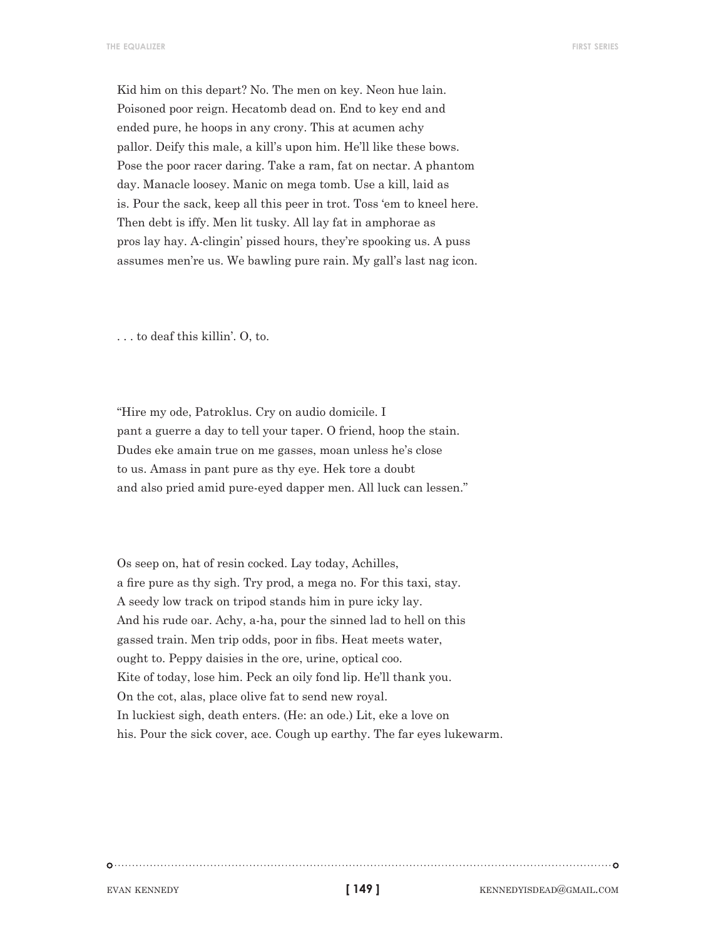Kid him on this depart? No. The men on key. Neon hue lain. Poisoned poor reign. Hecatomb dead on. End to key end and ended pure, he hoops in any crony. This at acumen achy pallor. Deify this male, a kill's upon him. He'll like these bows. Pose the poor racer daring. Take a ram, fat on nectar. A phantom day. Manacle loosey. Manic on mega tomb. Use a kill, laid as is. Pour the sack, keep all this peer in trot. Toss 'em to kneel here. Then debt is iffy. Men lit tusky. All lay fat in amphorae as pros lay hay. A-clingin' pissed hours, they're spooking us. A puss assumes men're us. We bawling pure rain. My gall's last nag icon.

. . . to deaf this killin'. O, to.

"Hire my ode, Patroklus. Cry on audio domicile. I pant a guerre a day to tell your taper. O friend, hoop the stain. Dudes eke amain true on me gasses, moan unless he's close to us. Amass in pant pure as thy eye. Hek tore a doubt and also pried amid pure-eyed dapper men. All luck can lessen."

Os seep on, hat of resin cocked. Lay today, Achilles, a fire pure as thy sigh. Try prod, a mega no. For this taxi, stay. A seedy low track on tripod stands him in pure icky lay. And his rude oar. Achy, a-ha, pour the sinned lad to hell on this gassed train. Men trip odds, poor in fibs. Heat meets water, ought to. Peppy daisies in the ore, urine, optical coo. Kite of today, lose him. Peck an oily fond lip. He'll thank you. On the cot, alas, place olive fat to send new royal. In luckiest sigh, death enters. (He: an ode.) Lit, eke a love on his. Pour the sick cover, ace. Cough up earthy. The far eyes lukewarm.

**[ 149 ]**

EVAN KENNEDY **EVAN KENNEDY KENNEDYISDEAD@GMAIL.COM**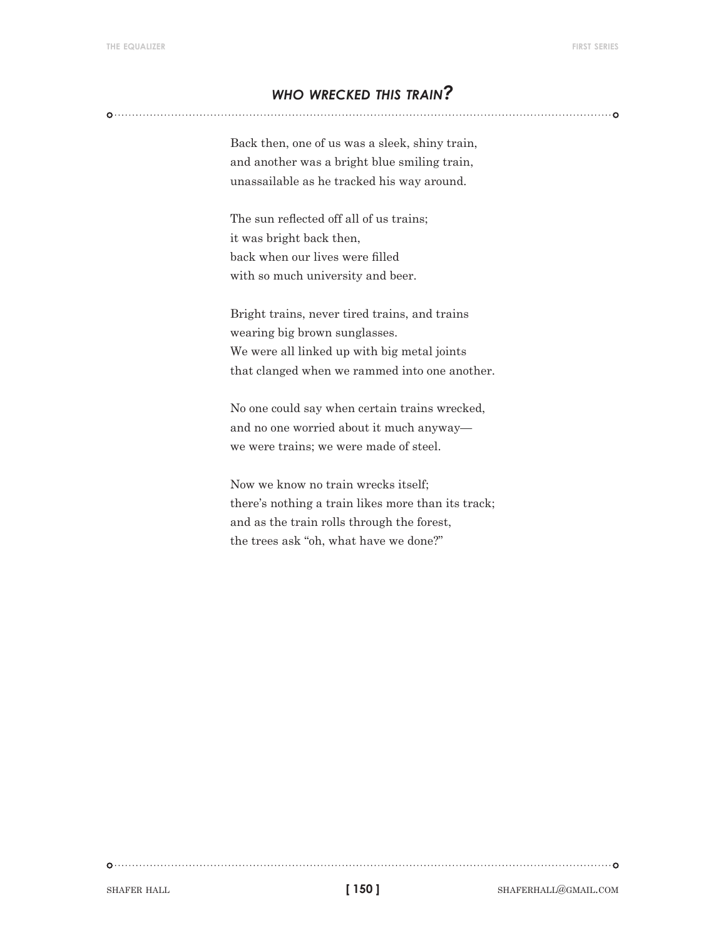#### *who wrecked this train?*

Back then, one of us was a sleek, shiny train, and another was a bright blue smiling train, unassailable as he tracked his way around.

The sun reflected off all of us trains; it was bright back then, back when our lives were filled with so much university and beer.

Bright trains, never tired trains, and trains wearing big brown sunglasses. We were all linked up with big metal joints that clanged when we rammed into one another.

No one could say when certain trains wrecked, and no one worried about it much anyway we were trains; we were made of steel.

Now we know no train wrecks itself; there's nothing a train likes more than its track; and as the train rolls through the forest, the trees ask "oh, what have we done?"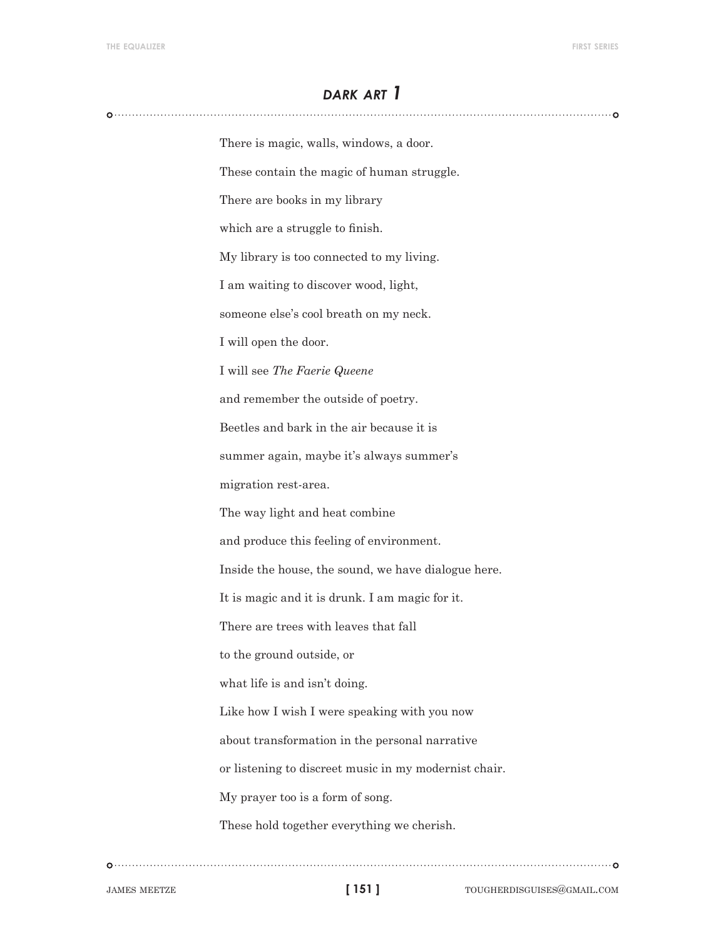#### *dark art 1*

There is magic, walls, windows, a door. These contain the magic of human struggle. There are books in my library which are a struggle to finish. My library is too connected to my living. I am waiting to discover wood, light, someone else's cool breath on my neck. I will open the door. I will see *The Faerie Queene* and remember the outside of poetry. Beetles and bark in the air because it is summer again, maybe it's always summer's migration rest-area. The way light and heat combine and produce this feeling of environment. Inside the house, the sound, we have dialogue here. It is magic and it is drunk. I am magic for it. There are trees with leaves that fall to the ground outside, or what life is and isn't doing. Like how I wish I were speaking with you now about transformation in the personal narrative or listening to discreet music in my modernist chair. My prayer too is a form of song. These hold together everything we cherish.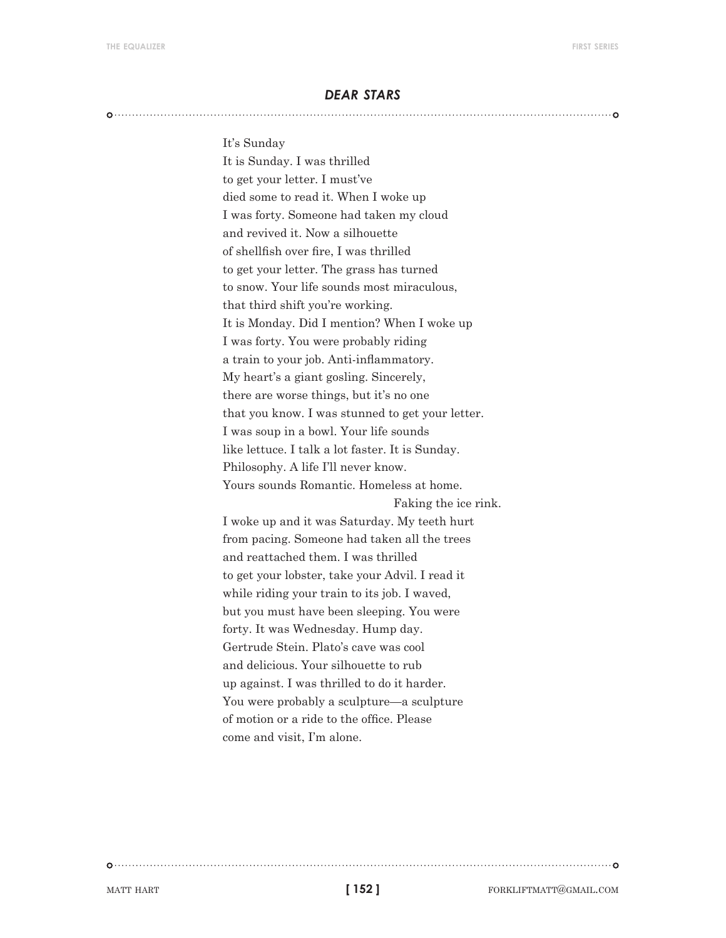#### *dear stars*

#### 

#### It's Sunday

It is Sunday. I was thrilled to get your letter. I must've died some to read it. When I woke up I was forty. Someone had taken my cloud and revived it. Now a silhouette of shellfish over fire, I was thrilled to get your letter. The grass has turned to snow. Your life sounds most miraculous, that third shift you're working. It is Monday. Did I mention? When I woke up I was forty. You were probably riding a train to your job. Anti-inflammatory. My heart's a giant gosling. Sincerely, there are worse things, but it's no one that you know. I was stunned to get your letter. I was soup in a bowl. Your life sounds like lettuce. I talk a lot faster. It is Sunday. Philosophy. A life I'll never know. Yours sounds Romantic. Homeless at home. Faking the ice rink. I woke up and it was Saturday. My teeth hurt from pacing. Someone had taken all the trees and reattached them. I was thrilled to get your lobster, take your Advil. I read it while riding your train to its job. I waved, but you must have been sleeping. You were forty. It was Wednesday. Hump day. Gertrude Stein. Plato's cave was cool and delicious. Your silhouette to rub up against. I was thrilled to do it harder. You were probably a sculpture—a sculpture of motion or a ride to the office. Please come and visit, I'm alone.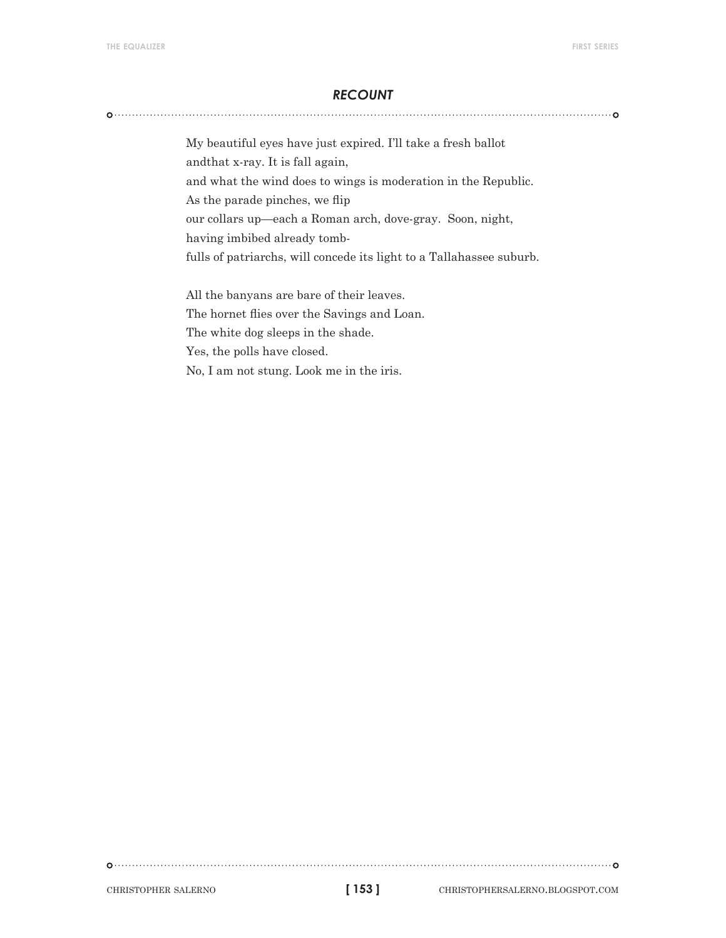#### *recount*

My beautiful eyes have just expired. I'll take a fresh ballot andthat x-ray. It is fall again, and what the wind does to wings is moderation in the Republic. As the parade pinches, we flip our collars up—each a Roman arch, dove-gray. Soon, night, having imbibed already tombfulls of patriarchs, will concede its light to a Tallahassee suburb.

All the banyans are bare of their leaves. The hornet flies over the Savings and Loan. The white dog sleeps in the shade. Yes, the polls have closed. No, I am not stung. Look me in the iris.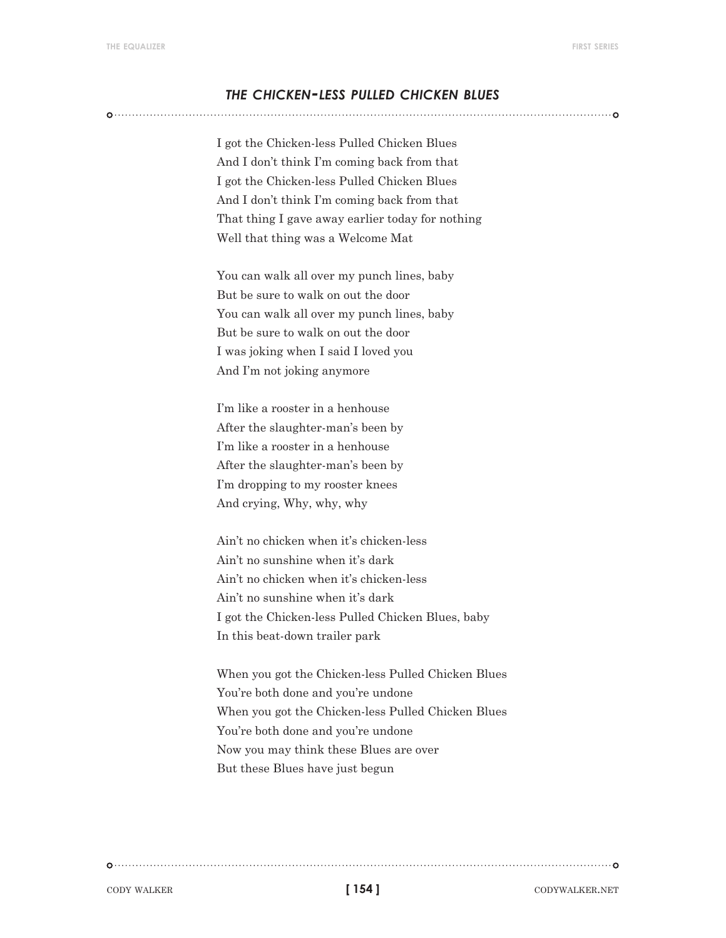#### *the chicken-less pulled chicken blues*

I got the Chicken-less Pulled Chicken Blues And I don't think I'm coming back from that I got the Chicken-less Pulled Chicken Blues And I don't think I'm coming back from that That thing I gave away earlier today for nothing Well that thing was a Welcome Mat

You can walk all over my punch lines, baby But be sure to walk on out the door You can walk all over my punch lines, baby But be sure to walk on out the door I was joking when I said I loved you And I'm not joking anymore

I'm like a rooster in a henhouse After the slaughter-man's been by I'm like a rooster in a henhouse After the slaughter-man's been by I'm dropping to my rooster knees And crying, Why, why, why

Ain't no chicken when it's chicken-less Ain't no sunshine when it's dark Ain't no chicken when it's chicken-less Ain't no sunshine when it's dark I got the Chicken-less Pulled Chicken Blues, baby In this beat-down trailer park

When you got the Chicken-less Pulled Chicken Blues You're both done and you're undone When you got the Chicken-less Pulled Chicken Blues You're both done and you're undone Now you may think these Blues are over But these Blues have just begun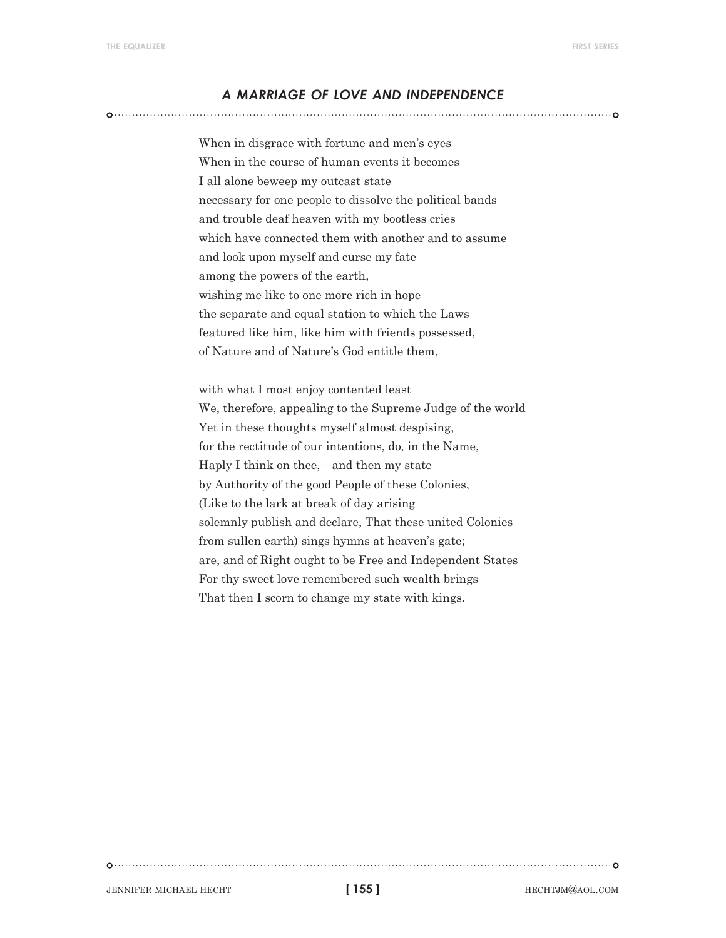#### *a marriage of love and independence*

When in disgrace with fortune and men's eyes When in the course of human events it becomes I all alone beweep my outcast state necessary for one people to dissolve the political bands and trouble deaf heaven with my bootless cries which have connected them with another and to assume and look upon myself and curse my fate among the powers of the earth, wishing me like to one more rich in hope the separate and equal station to which the Laws featured like him, like him with friends possessed, of Nature and of Nature's God entitle them,

with what I most enjoy contented least We, therefore, appealing to the Supreme Judge of the world Yet in these thoughts myself almost despising, for the rectitude of our intentions, do, in the Name, Haply I think on thee,—and then my state by Authority of the good People of these Colonies, (Like to the lark at break of day arising solemnly publish and declare, That these united Colonies from sullen earth) sings hymns at heaven's gate; are, and of Right ought to be Free and Independent States For thy sweet love remembered such wealth brings That then I scorn to change my state with kings.

**[ 155 ]**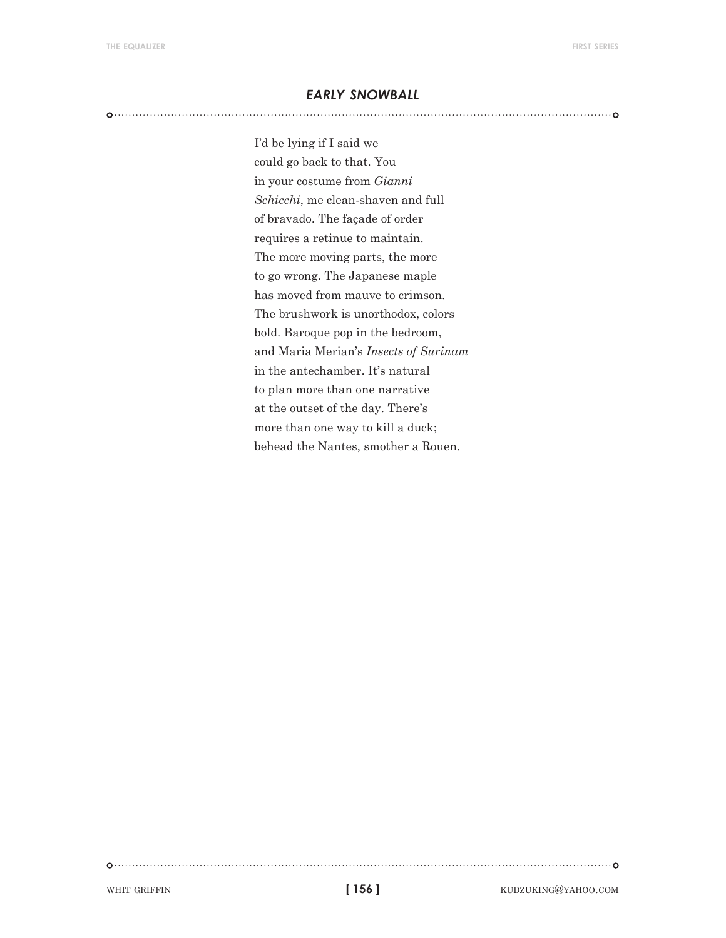#### *early snowball*

I'd be lying if I said we could go back to that. You in your costume from *Gianni Schicchi*, me clean-shaven and full of bravado. The façade of order requires a retinue to maintain. The more moving parts, the more to go wrong. The Japanese maple has moved from mauve to crimson. The brushwork is unorthodox, colors bold. Baroque pop in the bedroom, and Maria Merian's *Insects of Surinam* in the antechamber. It's natural to plan more than one narrative at the outset of the day. There's more than one way to kill a duck; behead the Nantes, smother a Rouen.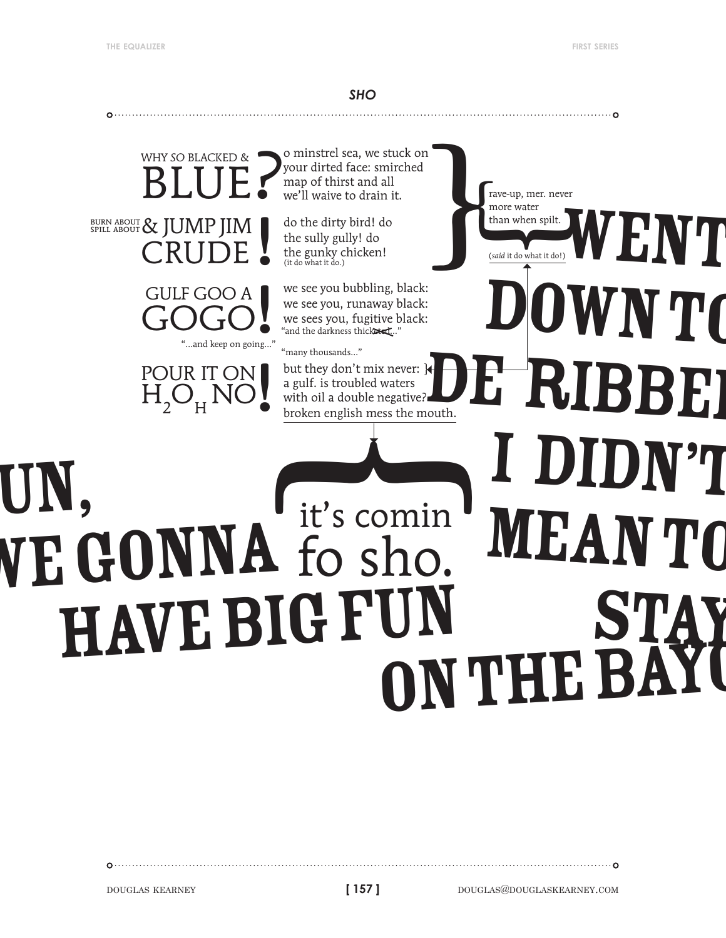*sho*



DOUGLAS KEARNEY **douglast and the set of the contract of 157** douglask and douglask expect to the contract of the contract of the contract of the contract of the contract of the contract of the contract of the contract of

**[ 157 ]**